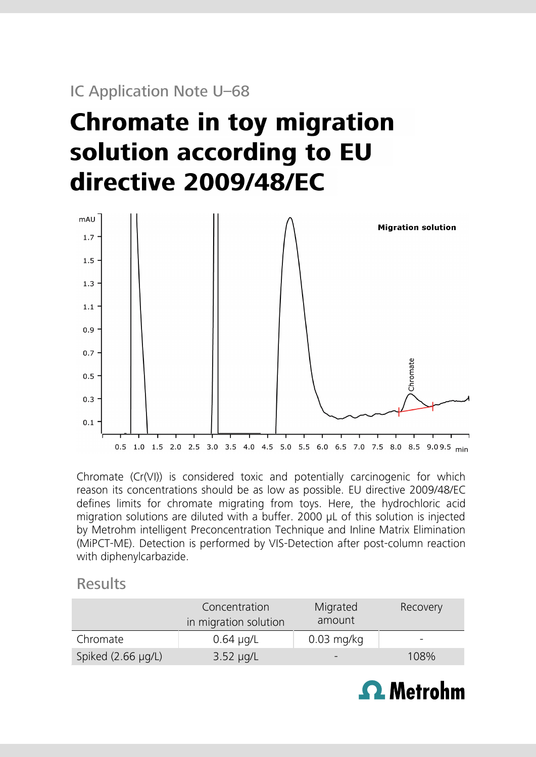## IC Application Note U–68

# **Chromate in toy migration** solution according to EU directive 2009/48/EC



Chromate (Cr(VI)) is considered toxic and potentially carcinogenic for which reason its concentrations should be as low as possible. EU directive 2009/48/EC defines limits for chromate migrating from toys. Here, the hydrochloric acid migration solutions are diluted with a buffer. 2000 µL of this solution is injected by Metrohm intelligent Preconcentration Technique and Inline Matrix Elimination (MiPCT-ME). Detection is performed by VIS-Detection after post-column reaction with diphenylcarbazide.

### **Results**

|                         | Concentration<br>in migration solution | Migrated<br>amount       | Recovery |
|-------------------------|----------------------------------------|--------------------------|----------|
| Chromate                | $0.64 \mu q/L$                         | $0.03$ mg/kg             | $\sim$   |
| Spiked $(2.66 \mu g/L)$ | $3.52 \mu q/L$                         | $\overline{\phantom{0}}$ | 108%     |